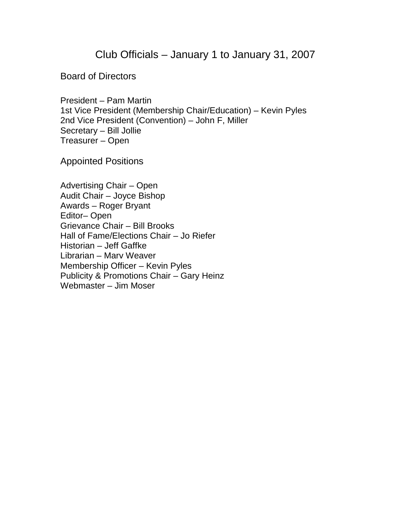Club Officials – January 1 to January 31, 2007

Board of Directors

President – Pam Martin 1st Vice President (Membership Chair/Education) – Kevin Pyles 2nd Vice President (Convention) – John F, Miller Secretary – Bill Jollie Treasurer – Open

Appointed Positions

Advertising Chair – Open Audit Chair – Joyce Bishop Awards – Roger Bryant Editor– Open Grievance Chair – Bill Brooks Hall of Fame/Elections Chair – Jo Riefer Historian – Jeff Gaffke Librarian – Marv Weaver Membership Officer – Kevin Pyles Publicity & Promotions Chair – Gary Heinz Webmaster – Jim Moser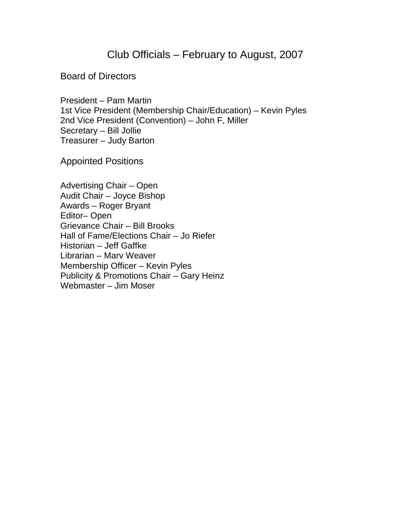## Club Officials – February to August, 2007

## Board of Directors

President – Pam Martin 1st Vice President (Membership Chair/Education) – Kevin Pyles 2nd Vice President (Convention) – John F, Miller Secretary – Bill Jollie Treasurer – Judy Barton

Appointed Positions

Advertising Chair – Open Audit Chair – Joyce Bishop Awards – Roger Bryant Editor– Open Grievance Chair – Bill Brooks Hall of Fame/Elections Chair – Jo Riefer Historian – Jeff Gaffke Librarian – Marv Weaver Membership Officer – Kevin Pyles Publicity & Promotions Chair – Gary Heinz Webmaster – Jim Moser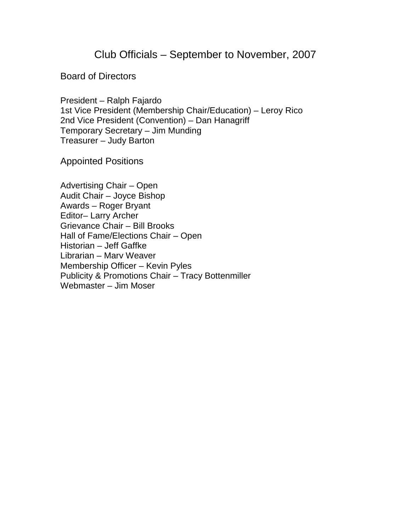Club Officials – September to November, 2007

Board of Directors

President – Ralph Fajardo 1st Vice President (Membership Chair/Education) – Leroy Rico 2nd Vice President (Convention) – Dan Hanagriff Temporary Secretary – Jim Munding Treasurer – Judy Barton

Appointed Positions

Advertising Chair – Open Audit Chair – Joyce Bishop Awards – Roger Bryant Editor– Larry Archer Grievance Chair – Bill Brooks Hall of Fame/Elections Chair – Open Historian – Jeff Gaffke Librarian – Marv Weaver Membership Officer – Kevin Pyles Publicity & Promotions Chair – Tracy Bottenmiller Webmaster – Jim Moser